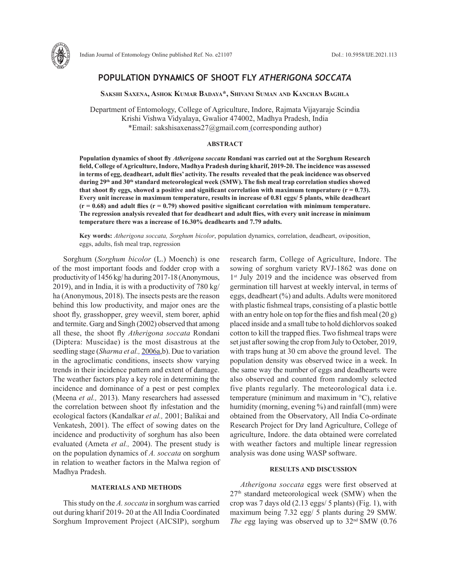

# **POPULATION DYNAMICS OF SHOOT FLY** *ATHERIGONA SOCCATA*

**Sakshi Saxena, Ashok Kumar Badaya\*, Shivani Suman and Kanchan Baghla**

Department of Entomology, College of Agriculture, Indore, Rajmata Vijayaraje Scindia Krishi Vishwa Vidyalaya, Gwalior 474002, Madhya Pradesh, India \*Email: sakshisaxenass27@gmail.com (corresponding author)

### **ABSTRACT**

**Population dynamics of shoot fly** *Atherigona soccata* **Rondani was carried out at the Sorghum Research field, College of Agriculture, Indore, Madhya Pradesh during kharif, 2019-20. The incidence was assessed in terms of egg, deadheart, adult flies' activity. The results revealed that the peak incidence was observed during 29th and 30th standard meteorological week (SMW). The fish meal trap correlation studies showed**  that shoot fly eggs, showed a positive and significant correlation with maximum temperature  $(r = 0.73)$ . **Every unit increase in maximum temperature, results in increase of 0.81 eggs/ 5 plants, while deadheart (r = 0.68) and adult flies (r = 0.79) showed positive significant correlation with minimum temperature. The regression analysis revealed that for deadheart and adult flies, with every unit increase in minimum temperature there was a increase of 16.30% deadhearts and 7.79 adults.** 

**Key words:** *Atherigona soccata, Sorghum bicolor*, population dynamics, correlation, deadheart, oviposition, eggs, adults, fish meal trap, regression

Sorghum (*Sorghum bicolor* (L.) Moench) is one of the most important foods and fodder crop with a productivity of 1456 kg/ ha during 2017-18 (Anonymous, 2019), and in India, it is with a productivity of 780 kg/ ha (Anonymous, 2018). The insects pests are the reason behind this low productivity, and major ones are the shoot fly, grasshopper, grey weevil, stem borer, aphid and termite. Garg and Singh (2002) observed that among all these, the shoot fly *Atherigona soccata* Rondani (Diptera: Muscidae) is the most disastrous at the seedling stage (*Sharma et al.,* 2006a,b). Due to variation in the agroclimatic conditions, insects show varying trends in their incidence pattern and extent of damage. The weather factors play a key role in determining the incidence and dominance of a pest or pest complex (Meena *et al.,* 2013). Many researchers had assessed the correlation between shoot fly infestation and the ecological factors (Kandalkar *et al.,* 2001; Balikai and Venkatesh, 2001). The effect of sowing dates on the incidence and productivity of sorghum has also been evaluated (Ameta *et al.,* 2004). The present study is on the population dynamics of *A. soccata* on sorghum in relation to weather factors in the Malwa region of Madhya Pradesh.

### **MATERIALS AND METHODS**

This study on the *A. soccata* in sorghum was carried out during kharif 2019- 20 at the All India Coordinated Sorghum Improvement Project (AICSIP), sorghum research farm, College of Agriculture, Indore. The sowing of sorghum variety RVJ-1862 was done on 1<sup>st</sup> July 2019 and the incidence was observed from germination till harvest at weekly interval, in terms of eggs, deadheart (%) and adults. Adults were monitored with plastic fishmeal traps, consisting of a plastic bottle with an entry hole on top for the flies and fish meal (20 g) placed inside and a small tube to hold dichlorvos soaked cotton to kill the trapped flies. Two fishmeal traps were set just after sowing the crop from July to October, 2019, with traps hung at 30 cm above the ground level. The population density was observed twice in a week. In the same way the number of eggs and deadhearts were also observed and counted from randomly selected five plants regularly. The meteorological data i.e. temperature (minimum and maximum in °C), relative humidity (morning, evening %) and rainfall (mm) were obtained from the Observatory, All India Co-ordinate Research Project for Dry land Agriculture, College of agriculture, Indore. the data obtained were correlated with weather factors and multiple linear regression analysis was done using WASP software.

### **RESULTS AND DISCUSSION**

*Atherigona soccata* eggs were first observed at 27th standard meteorological week (SMW) when the crop was 7 days old (2.13 eggs/ 5 plants) (Fig. 1), with maximum being 7.32 egg/ 5 plants during 29 SMW. *The e*gg laying was observed up to 32nd SMW (0.76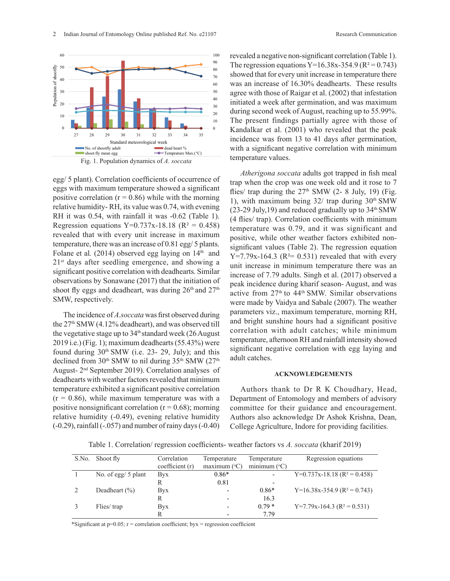

Fig. 1. Population dynamics of *A. soccata* Fig. 1 Population dynamics of *A. soccata*

egg/ 5 plant). Correlation coefficients of occurrence of eggs with maximum temperature showed a significant fl positive correlation ( $r = 0.86$ ) while with the morning relative humidity-RH, its value was 0.74, with evening  $\frac{1}{(23-29)}$ RH it was  $0.54$ , with rainfall it was  $-0.62$  (Table 1). Regression equations  $Y=0.737x-18.18$  ( $R^2 = 0.458$ ) revealed that with every unit increase in maximum  $\frac{1}{\text{positive}}$ temperature, there was an increase of 0.81 egg/ 5 plants.  $\frac{1}{\sin\theta}$ Folane et al.  $(2014)$  observed egg laying on  $14<sup>th</sup>$  and  $21<sup>st</sup>$  days after seedling emergence, and showing a significant positive correlation with deadhearts. Similar observations by Sonawane (2017) that the initiation of shoot fly eggs and deadheart, was during  $26<sup>th</sup>$  and  $27<sup>th</sup>$ SMW, respectively.

The incidence of *A.soccata* was first observed during the 27th SMW (4.12% deadheart), and was observed till the vegetative stage up to  $34<sup>th</sup>$  standard week (26 August 2019 i.e.) (Fig. 1); maximum deadhearts (55.43%) were found during  $30<sup>th</sup>$  SMW (i.e. 23- 29, July); and this declined from  $30<sup>th</sup>$  SMW to nil during  $35<sup>th</sup>$  SMW ( $27<sup>th</sup>$ August- 2nd September 2019). Correlation analyses of deadhearts with weather factors revealed that minimum temperature exhibited a significant positive correlation  $(r = 0.86)$ , while maximum temperature was with a positive nonsignificant correlation  $(r = 0.68)$ ; morning relative humidity (-0.49), evening relative humidity (-0.29), rainfall (-.057) and number of rainy days (-0.40)

revealed a negative non-significant correlation (Table 1). The regression equations Y=16.38x-354.9 ( $R^2$  = 0.743) showed that for every unit increase in temperature there was an increase of 16.30% deadhearts. These results agree with those of Raigar et al. (2002) that infestation initiated a week after germination, and was maximum during second week of August, reaching up to 55.99%. The present findings partially agree with those of Kandalkar et al. (2001) who revealed that the peak incidence was from 13 to 41 days after germination, with a significant negative correlation with minimum temperature values.

*Atherigona soccata* adults got trapped in fish meal trap when the crop was one week old and it rose to 7 flies/ trap during the  $27<sup>th</sup>$  SMW (2- 8 July, 19) (Fig. 1), with maximum being  $32/$  trap during  $30<sup>th</sup>$  SMW  $(23-29 \text{ July},19)$  and reduced gradually up to  $34^{\text{th}}$  SMW (4 flies/ trap). Correlation coefficients with minimum temperature was 0.79, and it was significant and positive, while other weather factors exhibited nonsignificant values (Table 2). The regression equation  $Y=7.79x-164.3$  ( $R<sup>2</sup>= 0.531$ ) revealed that with every unit increase in minimum temperature there was an increase of 7.79 adults. Singh et al. (2017) observed a peak incidence during kharif season- August, and was active from 27<sup>th</sup> to 44<sup>th</sup> SMW. Similar observations were made by Vaidya and Sabale (2007). The weather parameters viz., maximum temperature, morning RH, and bright sunshine hours had a significant positive correlation with adult catches; while minimum temperature, afternoon RH and rainfall intensity showed significant negative correlation with egg laying and adult catches.

## **ACKNOWLEDGEMENTS**

Authors thank to Dr R K Choudhary, Head, Department of Entomology and members of advisory committee for their guidance and encouragement. Authors also acknowledge Dr Ashok Krishna, Dean, College Agriculture, Indore for providing facilities.

Table 1. Correlation/ regression coefficients- weather factors vs *A. soccata* (kharif 2019)

| S.No. | Shoot fly             | Correlation    | Temperature              | Temperature              | Regression equations                      |
|-------|-----------------------|----------------|--------------------------|--------------------------|-------------------------------------------|
|       |                       | coefficient(r) | maximum $(°C)$           | minimum $(^{\circ}C)$    |                                           |
|       | No. of egg/ $5$ plant | <b>Byx</b>     | $0.86*$                  | $\overline{\phantom{a}}$ | $Y=0.737x-18.18$ (R <sup>2</sup> = 0.458) |
|       |                       | R              | 0.81                     | $\overline{\phantom{a}}$ |                                           |
|       | Deadheart $(\% )$     | <b>Byx</b>     | $\qquad \qquad$          | $0.86*$                  | $Y=16.38x-354.9$ (R <sup>2</sup> = 0.743) |
|       |                       | R              | $\qquad \qquad$          | 16.3                     |                                           |
|       | Flies/trap            | <b>Byx</b>     | $\overline{\phantom{0}}$ | $0.79*$                  | $Y=7.79x-164.3$ (R <sup>2</sup> = 0.531)  |
|       |                       |                | $\overline{\phantom{0}}$ | 7.79                     |                                           |

\*Significant at  $p=0.05$ ;  $r =$  correlation coefficient; byx = regression coefficient